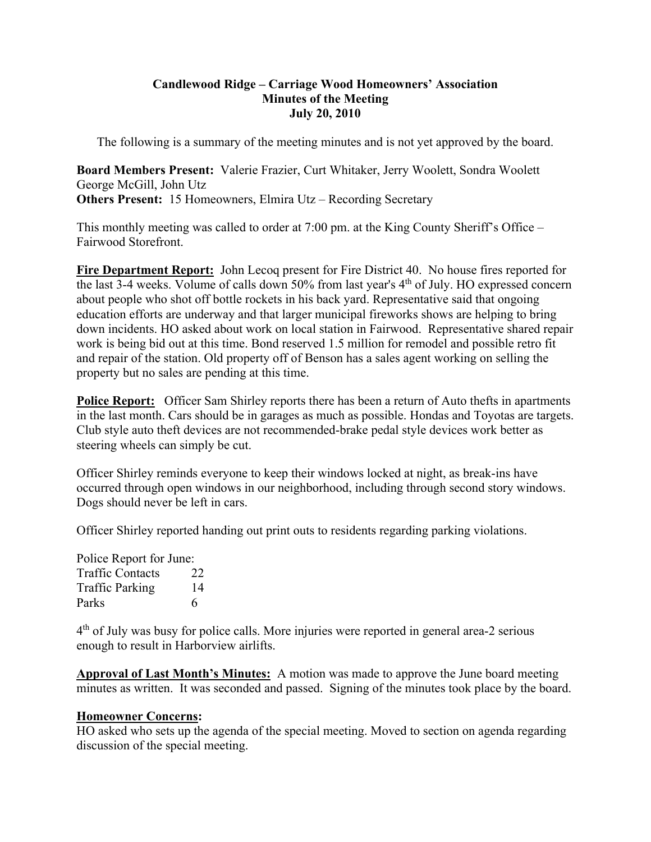#### **Candlewood Ridge – Carriage Wood Homeowners' Association Minutes of the Meeting July 20, 2010**

The following is a summary of the meeting minutes and is not yet approved by the board.

**Board Members Present:** Valerie Frazier, Curt Whitaker, Jerry Woolett, Sondra Woolett George McGill, John Utz **Others Present:** 15 Homeowners, Elmira Utz – Recording Secretary

This monthly meeting was called to order at 7:00 pm. at the King County Sheriff's Office – Fairwood Storefront.

**Fire Department Report:** John Lecoq present for Fire District 40. No house fires reported for the last 3-4 weeks. Volume of calls down 50% from last year's  $4<sup>th</sup>$  of July. HO expressed concern about people who shot off bottle rockets in his back yard. Representative said that ongoing education efforts are underway and that larger municipal fireworks shows are helping to bring down incidents. HO asked about work on local station in Fairwood. Representative shared repair work is being bid out at this time. Bond reserved 1.5 million for remodel and possible retro fit and repair of the station. Old property off of Benson has a sales agent working on selling the property but no sales are pending at this time.

**Police Report:** Officer Sam Shirley reports there has been a return of Auto thefts in apartments in the last month. Cars should be in garages as much as possible. Hondas and Toyotas are targets. Club style auto theft devices are not recommended-brake pedal style devices work better as steering wheels can simply be cut.

Officer Shirley reminds everyone to keep their windows locked at night, as break-ins have occurred through open windows in our neighborhood, including through second story windows. Dogs should never be left in cars.

Officer Shirley reported handing out print outs to residents regarding parking violations.

Police Report for June: Traffic Contacts 22 Traffic Parking 14 Parks 6

 $4<sup>th</sup>$  of July was busy for police calls. More injuries were reported in general area-2 serious enough to result in Harborview airlifts.

**Approval of Last Month's Minutes:** A motion was made to approve the June board meeting minutes as written. It was seconded and passed. Signing of the minutes took place by the board.

#### **Homeowner Concerns:**

HO asked who sets up the agenda of the special meeting. Moved to section on agenda regarding discussion of the special meeting.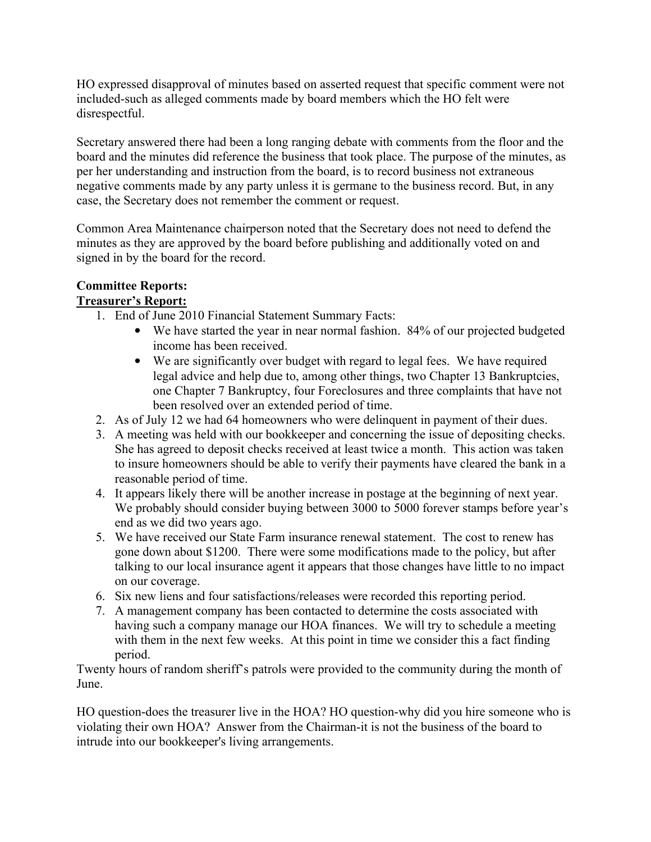HO expressed disapproval of minutes based on asserted request that specific comment were not included-such as alleged comments made by board members which the HO felt were disrespectful.

Secretary answered there had been a long ranging debate with comments from the floor and the board and the minutes did reference the business that took place. The purpose of the minutes, as per her understanding and instruction from the board, is to record business not extraneous negative comments made by any party unless it is germane to the business record. But, in any case, the Secretary does not remember the comment or request.

Common Area Maintenance chairperson noted that the Secretary does not need to defend the minutes as they are approved by the board before publishing and additionally voted on and signed in by the board for the record.

#### **Committee Reports: Treasurer's Report:**

- 1. End of June 2010 Financial Statement Summary Facts:
	- We have started the year in near normal fashion. 84% of our projected budgeted income has been received.
	- We are significantly over budget with regard to legal fees. We have required legal advice and help due to, among other things, two Chapter 13 Bankruptcies, one Chapter 7 Bankruptcy, four Foreclosures and three complaints that have not been resolved over an extended period of time.
- 2. As of July 12 we had 64 homeowners who were delinquent in payment of their dues.
- 3. A meeting was held with our bookkeeper and concerning the issue of depositing checks. She has agreed to deposit checks received at least twice a month. This action was taken to insure homeowners should be able to verify their payments have cleared the bank in a reasonable period of time.
- 4. It appears likely there will be another increase in postage at the beginning of next year. We probably should consider buying between 3000 to 5000 forever stamps before year's end as we did two years ago.
- 5. We have received our State Farm insurance renewal statement. The cost to renew has gone down about \$1200. There were some modifications made to the policy, but after talking to our local insurance agent it appears that those changes have little to no impact on our coverage.
- 6. Six new liens and four satisfactions/releases were recorded this reporting period.
- 7. A management company has been contacted to determine the costs associated with having such a company manage our HOA finances. We will try to schedule a meeting with them in the next few weeks. At this point in time we consider this a fact finding period.

Twenty hours of random sheriff's patrols were provided to the community during the month of June.

HO question-does the treasurer live in the HOA? HO question-why did you hire someone who is violating their own HOA? Answer from the Chairman-it is not the business of the board to intrude into our bookkeeper's living arrangements.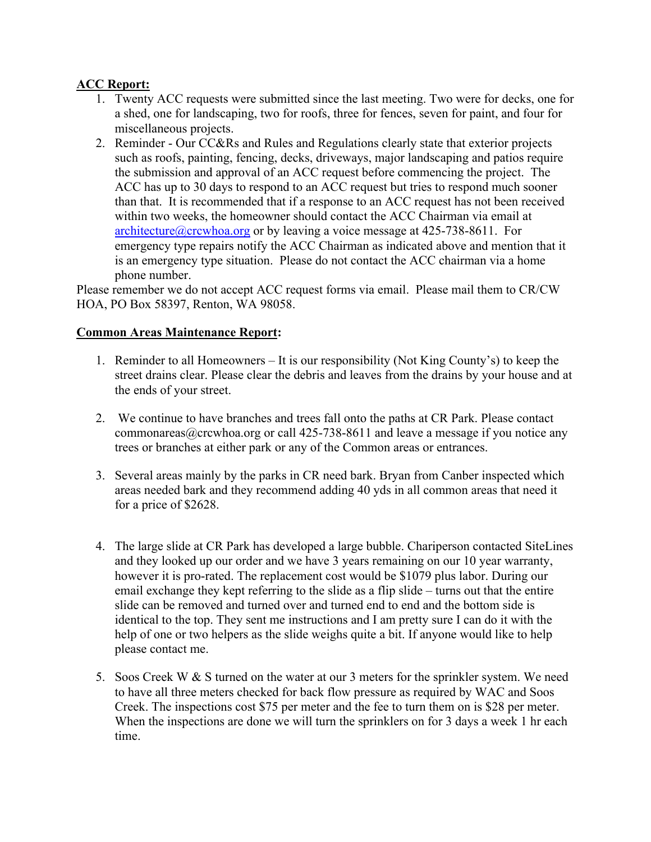# **ACC Report:**

- 1. Twenty ACC requests were submitted since the last meeting. Two were for decks, one for a shed, one for landscaping, two for roofs, three for fences, seven for paint, and four for miscellaneous projects.
- 2. Reminder Our CC&Rs and Rules and Regulations clearly state that exterior projects such as roofs, painting, fencing, decks, driveways, major landscaping and patios require the submission and approval of an ACC request before commencing the project. The ACC has up to 30 days to respond to an ACC request but tries to respond much sooner than that. It is recommended that if a response to an ACC request has not been received within two weeks, the homeowner should contact the ACC Chairman via email at  $architecture@crcwhoa.org$  or by leaving a voice message at 425-738-8611. For emergency type repairs notify the ACC Chairman as indicated above and mention that it is an emergency type situation. Please do not contact the ACC chairman via a home phone number.

Please remember we do not accept ACC request forms via email. Please mail them to CR/CW HOA, PO Box 58397, Renton, WA 98058.

## **Common Areas Maintenance Report:**

- 1. Reminder to all Homeowners It is our responsibility (Not King County's) to keep the street drains clear. Please clear the debris and leaves from the drains by your house and at the ends of your street.
- 2. We continue to have branches and trees fall onto the paths at CR Park. Please contact commonareas  $@$ crcwhoa.org or call 425-738-8611 and leave a message if you notice any trees or branches at either park or any of the Common areas or entrances.
- 3. Several areas mainly by the parks in CR need bark. Bryan from Canber inspected which areas needed bark and they recommend adding 40 yds in all common areas that need it for a price of \$2628.
- 4. The large slide at CR Park has developed a large bubble. Chariperson contacted SiteLines and they looked up our order and we have 3 years remaining on our 10 year warranty, however it is pro-rated. The replacement cost would be \$1079 plus labor. During our email exchange they kept referring to the slide as a flip slide – turns out that the entire slide can be removed and turned over and turned end to end and the bottom side is identical to the top. They sent me instructions and I am pretty sure I can do it with the help of one or two helpers as the slide weighs quite a bit. If anyone would like to help please contact me.
- 5. Soos Creek W & S turned on the water at our 3 meters for the sprinkler system. We need to have all three meters checked for back flow pressure as required by WAC and Soos Creek. The inspections cost \$75 per meter and the fee to turn them on is \$28 per meter. When the inspections are done we will turn the sprinklers on for 3 days a week 1 hr each time.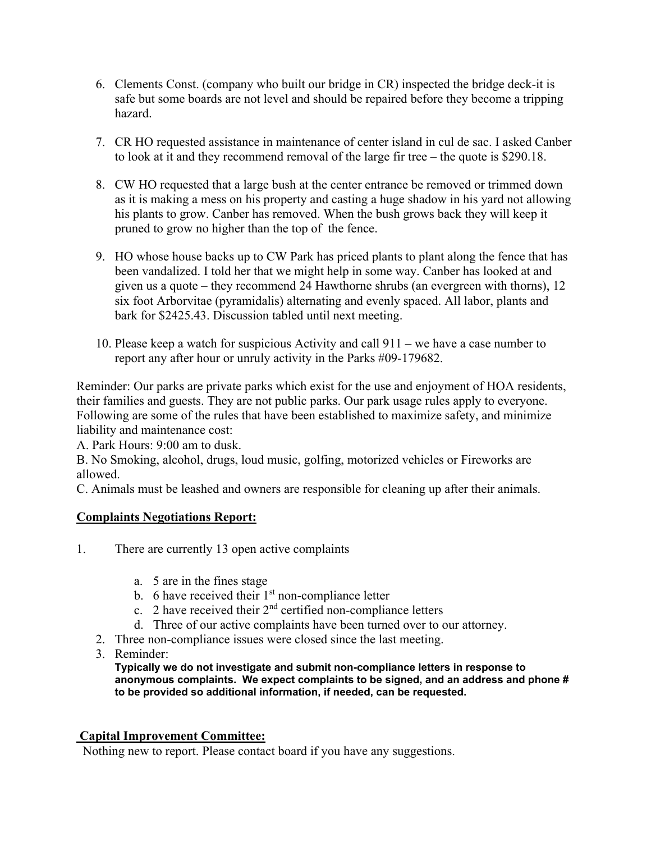- 6. Clements Const. (company who built our bridge in CR) inspected the bridge deck-it is safe but some boards are not level and should be repaired before they become a tripping hazard.
- 7. CR HO requested assistance in maintenance of center island in cul de sac. I asked Canber to look at it and they recommend removal of the large fir tree – the quote is \$290.18.
- 8. CW HO requested that a large bush at the center entrance be removed or trimmed down as it is making a mess on his property and casting a huge shadow in his yard not allowing his plants to grow. Canber has removed. When the bush grows back they will keep it pruned to grow no higher than the top of the fence.
- 9. HO whose house backs up to CW Park has priced plants to plant along the fence that has been vandalized. I told her that we might help in some way. Canber has looked at and given us a quote – they recommend 24 Hawthorne shrubs (an evergreen with thorns), 12 six foot Arborvitae (pyramidalis) alternating and evenly spaced. All labor, plants and bark for \$2425.43. Discussion tabled until next meeting.
- 10. Please keep a watch for suspicious Activity and call 911 we have a case number to report any after hour or unruly activity in the Parks #09-179682.

Reminder: Our parks are private parks which exist for the use and enjoyment of HOA residents, their families and guests. They are not public parks. Our park usage rules apply to everyone. Following are some of the rules that have been established to maximize safety, and minimize liability and maintenance cost:

A. Park Hours: 9:00 am to dusk.

B. No Smoking, alcohol, drugs, loud music, golfing, motorized vehicles or Fireworks are allowed.

C. Animals must be leashed and owners are responsible for cleaning up after their animals.

## **Complaints Negotiations Report:**

- 1. There are currently 13 open active complaints
	- a. 5 are in the fines stage
	- b. 6 have received their  $1<sup>st</sup>$  non-compliance letter
	- c. 2 have received their  $2<sup>nd</sup>$  certified non-compliance letters
	- d. Three of our active complaints have been turned over to our attorney.
	- 2. Three non-compliance issues were closed since the last meeting.
	- 3. Reminder:

**Typically we do not investigate and submit non-compliance letters in response to anonymous complaints. We expect complaints to be signed, and an address and phone # to be provided so additional information, if needed, can be requested.** 

## **Capital Improvement Committee:**

Nothing new to report. Please contact board if you have any suggestions.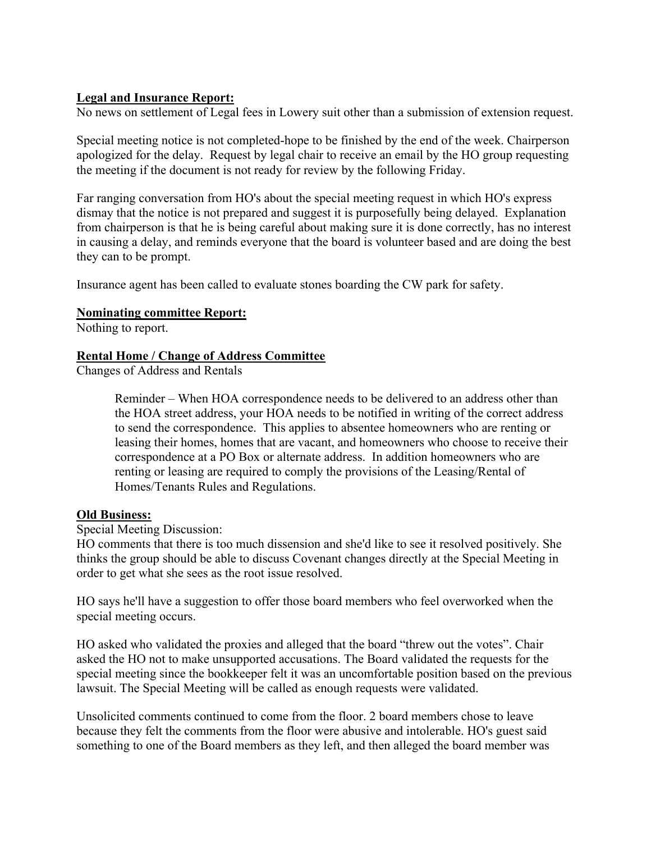### **Legal and Insurance Report:**

No news on settlement of Legal fees in Lowery suit other than a submission of extension request.

Special meeting notice is not completed-hope to be finished by the end of the week. Chairperson apologized for the delay. Request by legal chair to receive an email by the HO group requesting the meeting if the document is not ready for review by the following Friday.

Far ranging conversation from HO's about the special meeting request in which HO's express dismay that the notice is not prepared and suggest it is purposefully being delayed. Explanation from chairperson is that he is being careful about making sure it is done correctly, has no interest in causing a delay, and reminds everyone that the board is volunteer based and are doing the best they can to be prompt.

Insurance agent has been called to evaluate stones boarding the CW park for safety.

#### **Nominating committee Report:**

Nothing to report.

#### **Rental Home / Change of Address Committee**

Changes of Address and Rentals

 Reminder – When HOA correspondence needs to be delivered to an address other than the HOA street address, your HOA needs to be notified in writing of the correct address to send the correspondence. This applies to absentee homeowners who are renting or leasing their homes, homes that are vacant, and homeowners who choose to receive their correspondence at a PO Box or alternate address. In addition homeowners who are renting or leasing are required to comply the provisions of the Leasing/Rental of Homes/Tenants Rules and Regulations.

#### **Old Business:**

Special Meeting Discussion:

HO comments that there is too much dissension and she'd like to see it resolved positively. She thinks the group should be able to discuss Covenant changes directly at the Special Meeting in order to get what she sees as the root issue resolved.

HO says he'll have a suggestion to offer those board members who feel overworked when the special meeting occurs.

HO asked who validated the proxies and alleged that the board "threw out the votes". Chair asked the HO not to make unsupported accusations. The Board validated the requests for the special meeting since the bookkeeper felt it was an uncomfortable position based on the previous lawsuit. The Special Meeting will be called as enough requests were validated.

Unsolicited comments continued to come from the floor. 2 board members chose to leave because they felt the comments from the floor were abusive and intolerable. HO's guest said something to one of the Board members as they left, and then alleged the board member was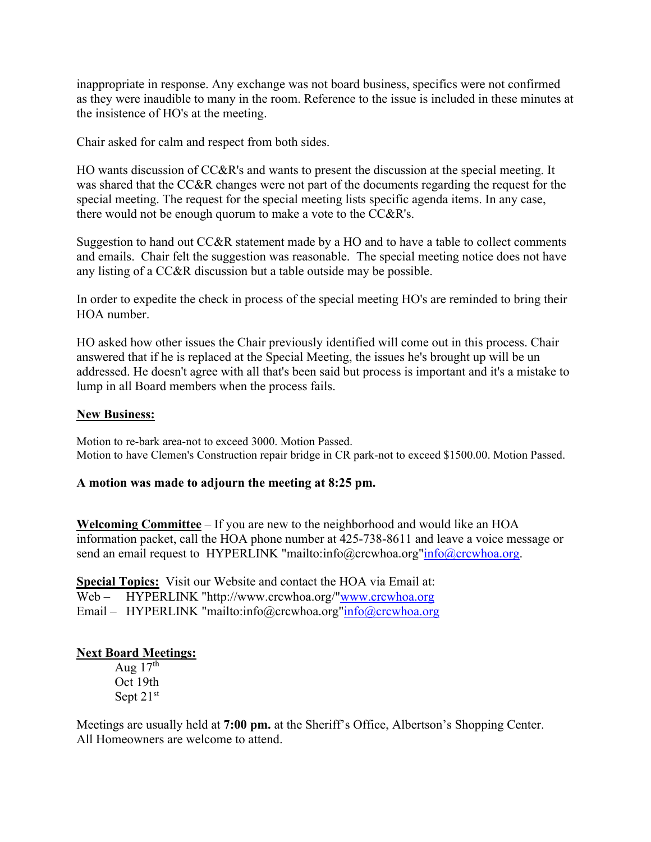inappropriate in response. Any exchange was not board business, specifics were not confirmed as they were inaudible to many in the room. Reference to the issue is included in these minutes at the insistence of HO's at the meeting.

Chair asked for calm and respect from both sides.

HO wants discussion of CC&R's and wants to present the discussion at the special meeting. It was shared that the CC&R changes were not part of the documents regarding the request for the special meeting. The request for the special meeting lists specific agenda items. In any case, there would not be enough quorum to make a vote to the CC&R's.

Suggestion to hand out CC&R statement made by a HO and to have a table to collect comments and emails. Chair felt the suggestion was reasonable. The special meeting notice does not have any listing of a CC&R discussion but a table outside may be possible.

In order to expedite the check in process of the special meeting HO's are reminded to bring their HOA number.

HO asked how other issues the Chair previously identified will come out in this process. Chair answered that if he is replaced at the Special Meeting, the issues he's brought up will be un addressed. He doesn't agree with all that's been said but process is important and it's a mistake to lump in all Board members when the process fails.

### **New Business:**

Motion to re-bark area-not to exceed 3000. Motion Passed. Motion to have Clemen's Construction repair bridge in CR park-not to exceed \$1500.00. Motion Passed.

#### **A motion was made to adjourn the meeting at 8:25 pm.**

**Welcoming Committee** – If you are new to the neighborhood and would like an HOA information packet, call the HOA phone number at 425-738-8611 and leave a voice message or send an email request to HYPERLINK "mailto:info@crcwhoa.org"info@crcwhoa.org.

**Special Topics:** Visit our Website and contact the HOA via Email at: Web – HYPERLINK "http://www.crcwhoa.org/"www.crcwhoa.org Email – HYPERLINK "mailto:info@crcwhoa.org"info@crcwhoa.org

#### **Next Board Meetings:**

Aug  $17<sup>th</sup>$  Oct 19th Sept 21st

Meetings are usually held at **7:00 pm.** at the Sheriff's Office, Albertson's Shopping Center. All Homeowners are welcome to attend.